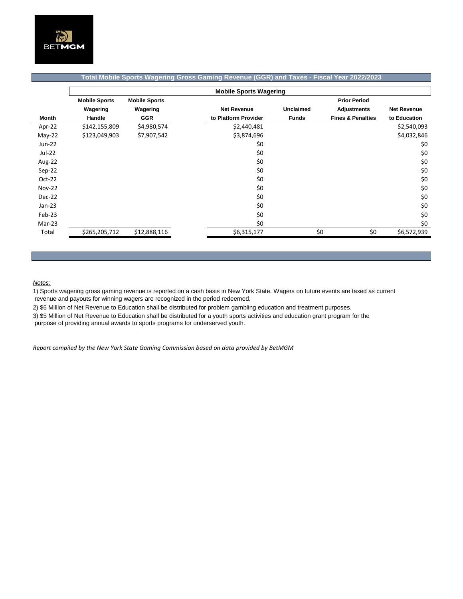

## **Total Mobile Sports Wagering Gross Gaming Revenue (GGR) and Taxes - Fiscal Year 2022/2023**

|               | <b>Mobile Sports Wagering</b> |                      |                      |                  |                              |                    |  |  |
|---------------|-------------------------------|----------------------|----------------------|------------------|------------------------------|--------------------|--|--|
|               | <b>Mobile Sports</b>          | <b>Mobile Sports</b> |                      |                  | <b>Prior Period</b>          |                    |  |  |
|               | Wagering                      | Wagering             | <b>Net Revenue</b>   | <b>Unclaimed</b> | <b>Adjustments</b>           | <b>Net Revenue</b> |  |  |
| Month         | Handle                        | <b>GGR</b>           | to Platform Provider | <b>Funds</b>     | <b>Fines &amp; Penalties</b> | to Education       |  |  |
| Apr-22        | \$142,155,809                 | \$4,980,574          | \$2,440,481          |                  |                              | \$2,540,093        |  |  |
| $May-22$      | \$123,049,903                 | \$7,907,542          | \$3,874,696          |                  |                              | \$4,032,846        |  |  |
| $Jun-22$      |                               |                      | \$0                  |                  |                              | \$0                |  |  |
| Jul-22        |                               |                      | \$0                  |                  |                              | \$0                |  |  |
| Aug-22        |                               |                      | \$0                  |                  |                              | \$0                |  |  |
| $Sep-22$      |                               |                      | \$0                  |                  |                              | \$0                |  |  |
| Oct-22        |                               |                      | \$0                  |                  |                              | \$0                |  |  |
| <b>Nov-22</b> |                               |                      | \$0                  |                  |                              | \$0                |  |  |
| Dec-22        |                               |                      | \$0                  |                  |                              | \$0                |  |  |
| $Jan-23$      |                               |                      | \$0                  |                  |                              | \$0                |  |  |
| Feb-23        |                               |                      | \$0                  |                  |                              | \$0                |  |  |
| Mar-23        |                               |                      | \$0                  |                  |                              | \$0                |  |  |
| Total         | \$265,205,712                 | \$12,888,116         | \$6,315,177          | \$0              | \$0                          | \$6,572,939        |  |  |

## *Notes:*

1) Sports wagering gross gaming revenue is reported on a cash basis in New York State. Wagers on future events are taxed as current revenue and payouts for winning wagers are recognized in the period redeemed.

2) \$6 Million of Net Revenue to Education shall be distributed for problem gambling education and treatment purposes.

3) \$5 Million of Net Revenue to Education shall be distributed for a youth sports activities and education grant program for the

purpose of providing annual awards to sports programs for underserved youth.

*Report compiled by the New York State Gaming Commission based on data provided by BetMGM*